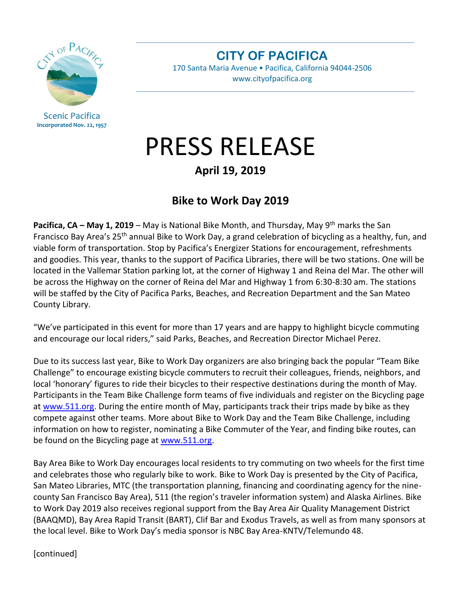

Scenic Pacifica **Incorporated Nov. 22, 1957** **CITY OF PACIFICA**

170 Santa Maria Avenue • Pacifica, California 94044-2506 www.cityofpacifica.org

## PRESS RELEASE

## **April 19, 2019**

## **Bike to Work Day 2019**

**Pacifica, CA – May 1, 2019** – May is National Bike Month, and Thursday, May 9<sup>th</sup> marks the San Francisco Bay Area's 25<sup>th</sup> annual Bike to Work Day, a grand celebration of bicycling as a healthy, fun, and viable form of transportation. Stop by Pacifica's Energizer Stations for encouragement, refreshments and goodies. This year, thanks to the support of Pacifica Libraries, there will be two stations. One will be located in the Vallemar Station parking lot, at the corner of Highway 1 and Reina del Mar. The other will be across the Highway on the corner of Reina del Mar and Highway 1 from 6:30-8:30 am. The stations will be staffed by the City of Pacifica Parks, Beaches, and Recreation Department and the San Mateo County Library.

"We've participated in this event for more than 17 years and are happy to highlight bicycle commuting and encourage our local riders," said Parks, Beaches, and Recreation Director Michael Perez.

Due to its success last year, Bike to Work Day organizers are also bringing back the popular "Team Bike Challenge" to encourage existing bicycle commuters to recruit their colleagues, friends, neighbors, and local 'honorary' figures to ride their bicycles to their respective destinations during the month of May. Participants in the Team Bike Challenge form teams of five individuals and register on the Bicycling page at [www.511.org.](http://www.511.org/) During the entire month of May, participants track their trips made by bike as they compete against other teams. More about Bike to Work Day and the Team Bike Challenge, including information on how to register, nominating a Bike Commuter of the Year, and finding bike routes, can be found on the Bicycling page at [www.511.org.](http://www.511.org/)

Bay Area Bike to Work Day encourages local residents to try commuting on two wheels for the first time and celebrates those who regularly bike to work. Bike to Work Day is presented by the City of Pacifica, San Mateo Libraries, MTC (the transportation planning, financing and coordinating agency for the ninecounty San Francisco Bay Area), 511 (the region's traveler information system) and Alaska Airlines. Bike to Work Day 2019 also receives regional support from the Bay Area Air Quality Management District (BAAQMD), Bay Area Rapid Transit (BART), Clif Bar and Exodus Travels, as well as from many sponsors at the local level. Bike to Work Day's media sponsor is NBC Bay Area-KNTV/Telemundo 48.

[continued]